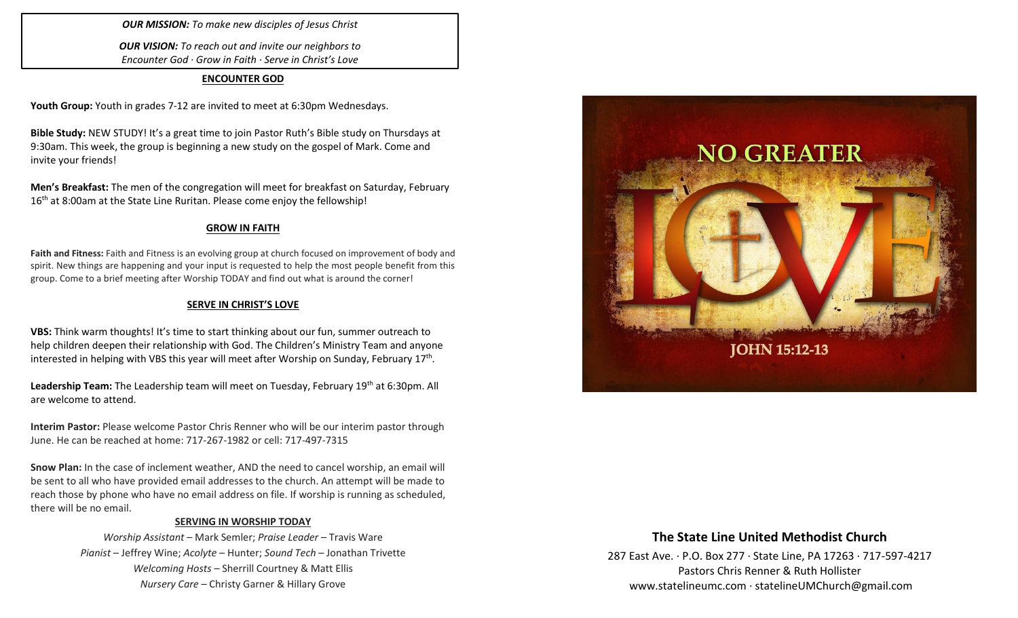## *OUR MISSION: To make new disciples of Jesus Christ*

*OUR VISION: To reach out and invite our neighbors to Encounter God · Grow in Faith · Serve in Christ's Love*

### **ENCOUNTER GOD**

**Youth Group:** Youth in grades 7-12 are invited to meet at 6:30pm Wednesdays.

**Bible Study:** NEW STUDY! It's a great time to join Pastor Ruth's Bible study on Thursdays at 9:30am. This week, the group is beginning a new study on the gospel of Mark. Come and invite your friends!

**Men's Breakfast:** The men of the congregation will meet for breakfast on Saturday, February 16<sup>th</sup> at 8:00am at the State Line Ruritan. Please come enjoy the fellowship!

## **GROW IN FAITH**

**Faith and Fitness:** Faith and Fitness is an evolving group at church focused on improvement of body and spirit. New things are happening and your input is requested to help the most people benefit from this group. Come to a brief meeting after Worship TODAY and find out what is around the corner!

## **SERVE IN CHRIST'S LOVE**

**VBS:** Think warm thoughts! It's time to start thinking about our fun, summer outreach to help children deepen their relationship with God. The Children's Ministry Team and anyone interested in helping with VBS this year will meet after Worship on Sunday, February 17<sup>th</sup>.

Leadership Team: The Leadership team will meet on Tuesday, February 19<sup>th</sup> at 6:30pm. All are welcome to attend.

**Interim Pastor:** Please welcome Pastor Chris Renner who will be our interim pastor through June. He can be reached at home: 717-267-1982 or cell: 717-497-7315

**Snow Plan:** In the case of inclement weather, AND the need to cancel worship, an email will be sent to all who have provided email addresses to the church. An attempt will be made to reach those by phone who have no email address on file. If worship is running as scheduled, there will be no email.

### **SERVING IN WORSHIP TODAY**

*Worship Assistant* – Mark Semler; *Praise Leader* – Travis Ware *Pianist* – Jeffrey Wine; *Acolyte* – Hunter; *Sound Tech* – Jonathan Trivette *Welcoming Hosts* – Sherrill Courtney & Matt Ellis *Nursery Care* – Christy Garner & Hillary Grove



## **The State Line United Methodist Church**

287 East Ave. · P.O. Box 277 · State Line, PA 17263 · 717-597-4217 Pastors Chris Renner & Ruth Hollister [www.statelineumc.com](http://www.statelineumc.com/) · statelineUMChurch@gmail.com